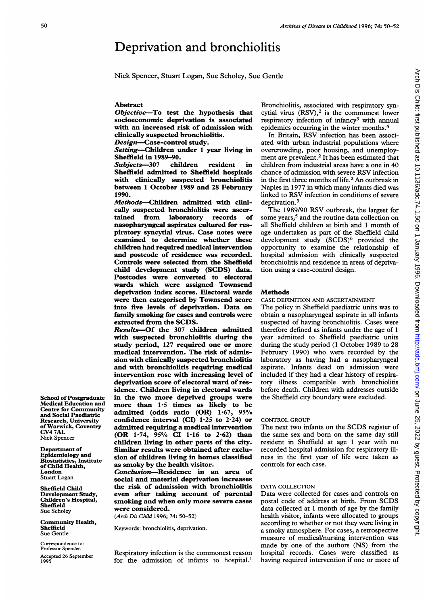# Deprivation and bronchiolitis

Nick Spencer, Stuart Logan, Sue Scholey, Sue Gentle

## Abstract

Objective-To test the hypothesis that socioeconomic deprivation is associated with an increased risk of admission with clinically suspected bronchiolitis.

Design-Case-control study.

Setting-Children under 1 year living in Sheffield in 1989-90.

Subjects-307 children resident in Sheffield admitted to Sheffield hospitals with clinically suspected bronchiolitis between <sup>1</sup> October 1989 and 28 February 1990.

Methods-Children admitted with clinically suspected bronchiolitis were ascertained from laboratory records of nasopharyngeal aspirates cultured for respiratory syncytial virus. Case notes were examined to determine whether these children had required medical intervention and postcode of residence was recorded. Controls were selected from the Sheffield child development study (SCDS) data. Postcodes were converted to electoral wards which were assigned Townsend deprivation index scores. Electoral wards were then categorised by Townsend score into five levels of deprivation. Data on family smoking for cases and controls were extracted from the SCDS.

Results-Of the 307 children admitted with suspected bronchiolitis during the study period, 127 required one or more medical intervention. The risk of admission with clinically suspected bronchiolitis and with bronchiolitis requiring medical intervention rose with increasing level of deprivation score of electoral ward of residence. Children living in electoral wards in the two more deprived groups were more than  $1.5$  times as likely to be admitted (odds ratio (OR)  $1.67$ ,  $95\%$ confidence interval (CI)  $1.25$  to  $2.24$ ) or admitted requiring a medical intervention (OR 1.74, 95% CI 1.16 to 2.62) than children living in other parts of the city. Similar results were obtained after exclusion of children living in homes classified as smoky by the health visitor.

Conclusion-Residence in an area of social and material deprivation increases the risk of admission with bronchiolitis even after taking account of parental smoking and when only more severe cases were considered.

(Arch Dis Child 1996; 74: 50-52)

Keywords: bronchiolitis, deprivation.

Respiratory infection is the commonest reason for the admission of infants to hospital.'

Bronchiolitis, associated with respiratory syncytial virus  $(RSV)<sup>2</sup>$  is the commonest lower respiratory infection of infancy<sup>3</sup> with annual epidemics occurring in the winter months.4

In Britain, RSV infection has been associated with urban industrial populations where overcrowding, poor housing, and unemployment are prevalent.<sup>2</sup> It has been estimated that children from industrial areas have a one in 40 chance of admission with severe RSV infection in the first three months of life.2 An outbreak in Naples in 1977 in which many infants died was linked to RSV infection in conditions of severe deprivation.<sup>3</sup>

The 1989/90 RSV outbreak, the largest for some years,<sup>5</sup> and the routine data collection on all Sheffield children at birth and <sup>1</sup> month of age undertaken as part of the Sheffield child development study (SCDS)<sup>6</sup> provided the opportunity to examine the relationship of hospital admission with clinically suspected bronchiolitis and residence in areas of deprivation using a case-control design.

#### Methods

CASE DEFINITION AND ASCERTAINMENT

The policy in Sheffield paediatric units was to obtain a nasopharyngeal aspirate in all infants suspected of having bronchiolitis. Cases were therefore defined as infants under the age of <sup>1</sup> year admitted to Sheffield paediatric units during the study period (1 October 1989 to 28 February 1990) who were recorded by the laboratory as having had a nasopharyngeal aspirate. Infants dead on admission were included if they had a clear history of respiratory illness compatible with bronchiolitis before death. Children with addresses outside the Sheffield city boundary were excluded.

## CONTROL GROUP

The next two infants on the SCDS register of the same sex and born on the same day still resident in Sheffield at age <sup>1</sup> year with no recorded hospital admission for respiratory illness in the first year of life were taken as controls for each case.

#### DATA COLLECTION

Data were collected for cases and controls on postal code of address at birth. From SCDS data collected at <sup>1</sup> month of age by the family health visitor, infants were allocated to groups according to whether or not they were living in a smoky atmosphere. For cases, a retrospective measure of medical/nursing intervention was made by one of the authors (NS) from the hospital records. Cases were classified as having required intervention if one or more of

School of Postgraduate Medical Education and Centre for Community and Social Paediatric Research, University of Warwick, Coventry CV4 7AL Nick Spencer

Department of Epidemiology and Biostatistics, Institute of Child Health, London Stuart Logan

Sheffield Child Development Study, Children's Hospital, Sheffield Sue Scholey

Community Health, Sheffield Sue Gentle

Correspondence to: Professor Spencer. Accepted 26 September 1995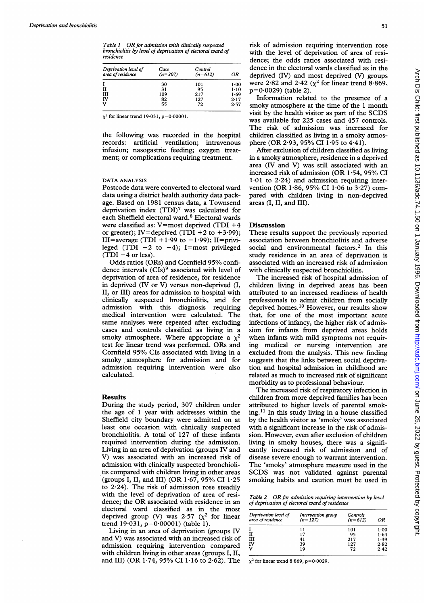Table 1 OR for admission with clinically suspected bronchiolitis by level of deprivation of electoral ward of residence

| Deprivation level of<br>area of residence | Case<br>$(n=307)$ | Control<br>$(n=612)$ | ΟR       |
|-------------------------------------------|-------------------|----------------------|----------|
|                                           | 30                | 101                  | 1.00     |
| н                                         | 31                | 95                   | $1 - 10$ |
| Ш                                         | 109               | 217                  | 1.69     |
| Γv                                        | 82                | 127                  | 2.17     |
| v                                         | 55                | 72                   | 2.57     |

 $\chi^2$  for linear trend 19.031, p=0.00001.

the following was recorded in the hospital records: artificial ventilation; intravenous infusion; nasogastric feeding; oxygen treatment; or complications requiring treatment.

# DATA ANALYSIS

Postcode data were converted to electoral ward data using a district health authority data package. Based on 1981 census data, a Townsend deprivation index (TDI)7 was calculated for each Sheffield electoral ward.<sup>8</sup> Electoral wards were classified as:  $V=$ most deprived (TDI +4 or greater); IV=deprived (TDI +2 to +3.99); III=average (TDI +1.99 to  $-1.99$ ); II=privileged (TDI  $-2$  to  $-4$ ); I=most privileged  $(TDI - 4$  or less).

Odds ratios (ORs) and Cornfield 95% confidence intervals (CIs)<sup>9</sup> associated with level of deprivation of area of residence, for residence in deprived (IV or V) versus non-deprived (I, II, or III) areas for admission to hospital with clinically suspected bronchiolitis, and for admission with this diagnosis requiring medical intervention were calculated. The same analyses were repeated after excluding cases and controls classified as living in a smoky atmosphere. Where appropriate a  $\chi^2$ test for linear trend was performed. ORs and Cornfield 95% CIs associated with living in <sup>a</sup> smoky atmosphere for admission and for admission requiring intervention were also calculated.

# Results

During the study period, 307 children under the age of <sup>1</sup> year with addresses within the Sheffield city boundary were admitted on at least one occasion with clinically suspected bronchiolitis. A total of <sup>127</sup> of these infants required intervention during the admission. Living in an area of deprivation (groups IV and V) was associated with an increased risk of admission with clinically suspected bronchiolitis compared with children living in other areas (groups I, II, and III) (OR 1-67, 95% CI 1-25 to  $2.24$ ). The risk of admission rose steadily with the level of deprivation of area of residence; the OR associated with residence in an electoral ward classified as in the most deprived group (V) was 2.57 ( $\chi^2$  for linear trend  $19.031$ ,  $p=0.00001$ ) (table 1).

Living in an area of deprivation (groups IV and V) was associated with an increased risk of admission requiring intervention compared with children living in other areas (groups I, II, and III) (OR 1.74, 95% CI 1.16 to 2.62). The

risk of admission requiring intervention rose with the level of deprivation of area of residence; the odds ratios associated with residence in the electoral wards classified as in the deprived (IV) and most deprived (V) groups were 2.82 and 2.42 ( $\chi^2$  for linear trend 8.869, p=0-0029) (table 2).

Information related to the presence of a smoky atmosphere at the time of the <sup>1</sup> month visit by the health visitor as part of the SCDS was available for 225 cases and 457 controls. The risk of admission was increased for children classified as living in a smoky atmosphere (OR 2.93, 95% CI 1.95 to 4.41).

After exclusion of children classified as living in a smoky atmosphere, residence in a deprived area (IV and V) was still associated with an increased risk of admission (OR 1-54, 95% CI  $1.01$  to  $2.24$ ) and admission requiring intervention (OR 1.86, 95% CI 1.06 to 3.27) compared with children living in non-deprived areas (I, II, and III).

#### **Discussion**

These results support the previously reported association between bronchiolitis and adverse social and environmental factors.<sup>2</sup> In this study residence in an area of deprivation is associated with an increased risk of admission with clinically suspected bronchiolitis.

The increased risk of hospital admission of children living in deprived areas has been attributed to an increased readiness of health professionals to admit children from socially deprived homes.<sup>10</sup> However, our results show that, for one of the most important acute infections of infancy, the higher risk of admission for infants from deprived areas holds when infants with mild symptoms not requiring medical or nursing intervention are excluded from the analysis. This new finding suggests that the links between social deprivation and hospital admission in childhood are related as much to increased risk of significant morbidity as to professional behaviour.

The increased risk of respiratory infection in children from more deprived families has been attributed to higher levels of parental smoking.<sup>11</sup> In this study living in a house classified by the health visitor as 'smoky' was associated with a significant increase in the risk of admission. However, even after exclusion of children living in smoky houses, there was a significantly increased risk of admission and of disease severe enough to warrant intervention. The 'smoky' atmosphere measure used in the SCDS was not validated against parental smoking habits and caution must be used in

Table 2 OR for admission requiring intervention by level of deprivation of electoral ward of residence

| Deprivation level of<br>area of residence | Intervention group<br>$(n=127)$ | Controls<br>$(n=612)$ | ΩR   |
|-------------------------------------------|---------------------------------|-----------------------|------|
|                                           | 11                              | 101                   | 1.00 |
| н                                         | 17                              | 95                    | 1.64 |
| ш                                         | 41                              | 217                   | 1.39 |
| ΙV                                        | 39                              | 127                   | 2.82 |
| v                                         | 19                              | 72                    | 2.42 |

 $\chi^2$  for linear trend 8.869, p=0.0029.